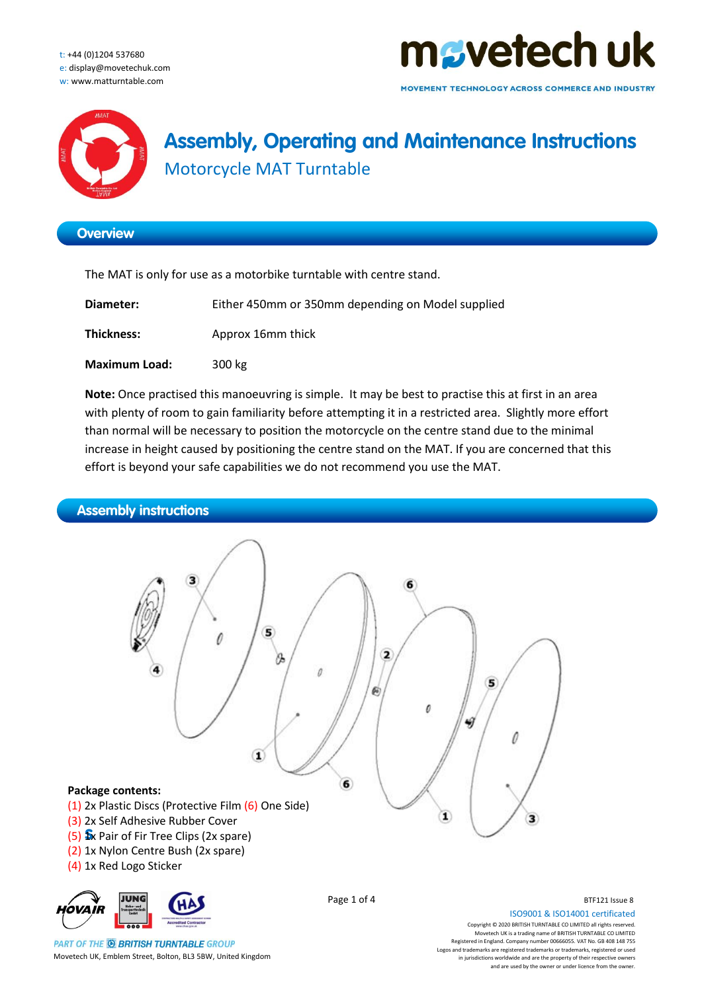t: +44 (0)1204 537680 e: display@movetechuk.com w: www.matturntable.com



MOVEMENT TECHNOLOGY ACROSS COMMERCE AND INDUSTRY



### **Assembly, Operating and Maintenance Instructions** Motorcycle MAT Turntable

### **Overview**

The MAT is only for use as a motorbike turntable with centre stand.

| Diameter:            | Either 450mm or 350mm depending on Model supplied |
|----------------------|---------------------------------------------------|
| Thickness:           | Approx 16mm thick                                 |
| <b>Maximum Load:</b> | 300 kg                                            |

**Note:** Once practised this manoeuvring is simple. It may be best to practise this at first in an area with plenty of room to gain familiarity before attempting it in a restricted area. Slightly more effort than normal will be necessary to position the motorcycle on the centre stand due to the minimal increase in height caused by positioning the centre stand on the MAT. If you are concerned that this effort is beyond your safe capabilities we do not recommend you use the MAT.



**PART OF THE @ BRITISH TURNTABLE GROUP** Movetech UK, Emblem Street, Bolton, BL3 5BW, United Kingdom

ISO9001 & ISO14001 certificated Copyright © 2020 BRITISH TURNTABLE CO LIMITED all rights reserved. Movetech UK is a trading name of BRITISH TURNTABLE CO LIMITED Registered in England. Company number 00666055. VAT No. GB 408 148 755 Logos and trademarks are registered trademarks or trademarks, registered or used in jurisdictions worldwide and are the property of their respective owners and are used by the owner or under licence from the owner.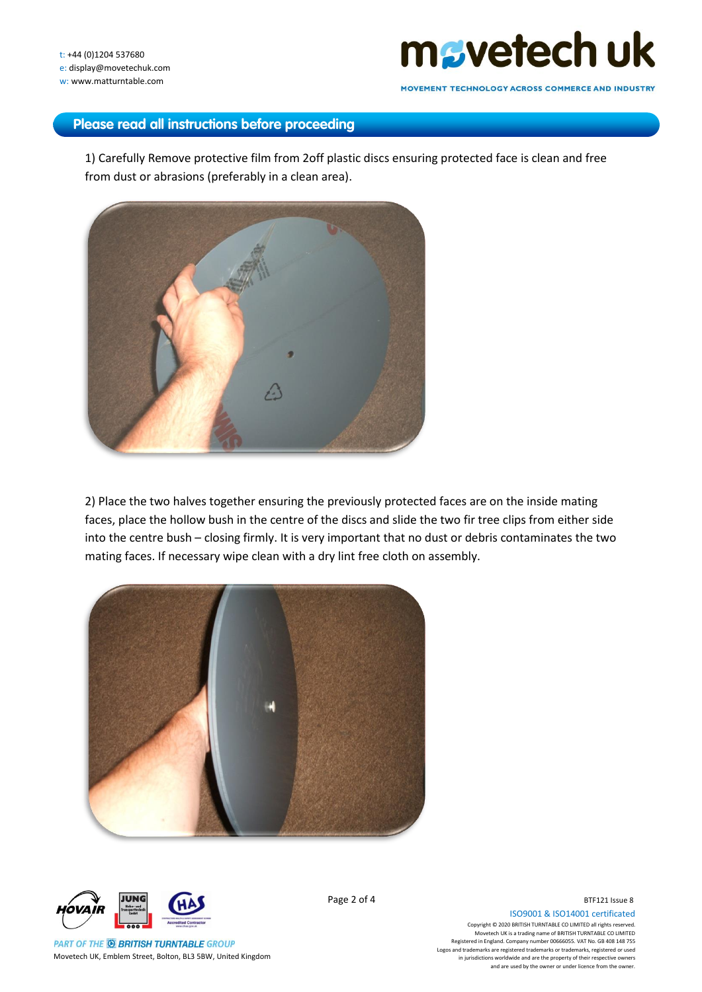# mgyetech uk

MOVEMENT TECHNOLOGY ACROSS COMMERCE AND INDUSTRY

### **Please read all instructions before proceeding**

1) Carefully Remove protective film from 2off plastic discs ensuring protected face is clean and free from dust or abrasions (preferably in a clean area).



2) Place the two halves together ensuring the previously protected faces are on the inside mating faces, place the hollow bush in the centre of the discs and slide the two fir tree clips from either side into the centre bush – closing firmly. It is very important that no dust or debris contaminates the two mating faces. If necessary wipe clean with a dry lint free cloth on assembly.





**PART OF THE @ BRITISH TURNTABLE GROUP** Movetech UK, Emblem Street, Bolton, BL3 5BW, United Kingdom Page 2 of 4

ISO9001 & ISO14001 certificated Copyright © 2020 BRITISH TURNTABLE CO LIMITED all rights reserved. Movetech UK is a trading name of BRITISH TURNTABLE CO LIMITED Registered in England. Company number 00666055. VAT No. GB 408 148 755 Logos and trademarks are registered trademarks or trademarks, registered or used in jurisdictions worldwide and are the property of their respective owners and are used by the owner or under licence from the owner.

BTF121 Issue 8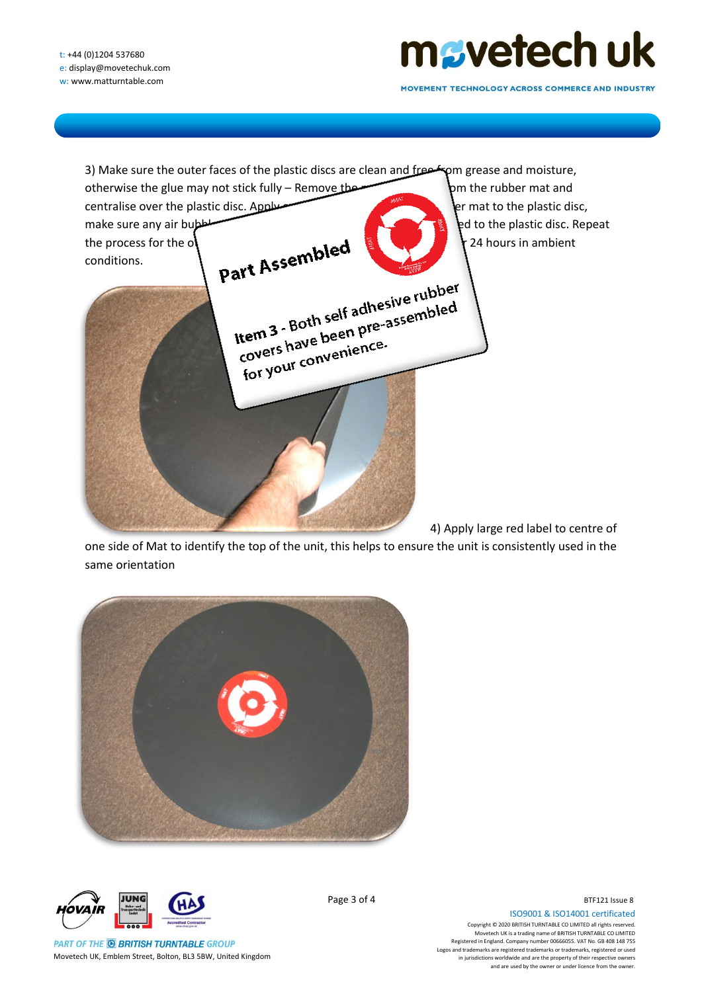## mgyetech uk

MOVEMENT TECHNOLOGY ACROSS COMMERCE AND INDUSTRY



one side of Mat to identify the top of the unit, this helps to ensure the unit is consistently used in the same orientation





**PART OF THE @ BRITISH TURNTABLE GROUP** Movetech UK, Emblem Street, Bolton, BL3 5BW, United Kingdom Page 3 of 4

ISO9001 & ISO14001 certificated Copyright © 2020 BRITISH TURNTABLE CO LIMITED all rights reserved. Movetech UK is a trading name of BRITISH TURNTABLE CO LIMITED Registered in England. Company number 00666055. VAT No. GB 408 148 755 Logos and trademarks are registered trademarks or trademarks, registered or used in jurisdictions worldwide and are the property of their respective owners and are used by the owner or under licence from the owner.

BTF121 Issue 8